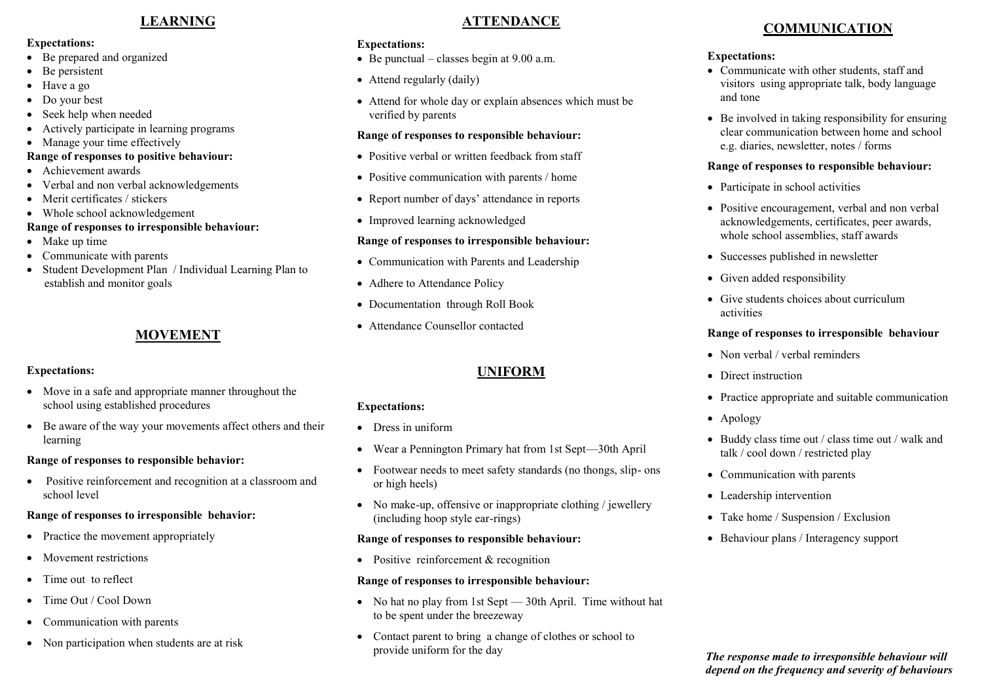## **LEARNING**

#### **Expectations:**

- Be prepared and organized
- Be persistent
- Have a go
- Do your best
- Seek help when needed
- Actively participate in learning programs
- Manage your time effectively

#### **Range of responses to positive behaviour:**

- Achievement awards
- Verbal and non verbal acknowledgements
- Merit certificates / stickers
- Whole school acknowledgement

## **Range of responses to irresponsible behaviour:**

- Make up time
- Communicate with parents
- Student Development Plan / Individual Learning Plan to establish and monitor goals

# **MOVEMENT**

#### **Expectations:**

- Move in a safe and appropriate manner throughout the school using established procedures
- Be aware of the way your movements affect others and their learning

#### **Range of responses to responsible behavior:**

 Positive reinforcement and recognition at a classroom and school level

#### **Range of responses to irresponsible behavior:**

- Practice the movement appropriately
- Movement restrictions
- Time out to reflect
- Time Out / Cool Down
- Communication with parents
- Non participation when students are at risk

# **ATTENDANCE**

#### **Expectations:**

- $\bullet$  Be punctual classes begin at 9.00 a.m.
- Attend regularly (daily)
- Attend for whole day or explain absences which must be verified by parents

#### **Range of responses to responsible behaviour:**

- Positive verbal or written feedback from staff
- Positive communication with parents / home
- Report number of days' attendance in reports
- Improved learning acknowledged

## **Range of responses to irresponsible behaviour:**

- Communication with Parents and Leadership
- Adhere to Attendance Policy
- Documentation through Roll Book
- Attendance Counsellor contacted

# **UNIFORM**

## **Expectations:**

- Dress in uniform
- Wear a Pennington Primary hat from 1st Sept—30th April
- Footwear needs to meet safety standards (no thongs, slip- ons or high heels)
- No make-up, offensive or inappropriate clothing / jewellery (including hoop style ear-rings)

#### **Range of responses to responsible behaviour:**

• Positive reinforcement & recognition

#### **Range of responses to irresponsible behaviour:**

- No hat no play from 1st Sept 30th April. Time without hat to be spent under the breezeway
- Contact parent to bring a change of clothes or school to provide uniform for the day

# **COMMUNICATION**

#### **Expectations:**

- Communicate with other students, staff and visitors using appropriate talk, body language and tone
- Be involved in taking responsibility for ensuring clear communication between home and school e.g. diaries, newsletter, notes / forms

#### **Range of responses to responsible behaviour:**

- Participate in school activities
- Positive encouragement, verbal and non verbal acknowledgements, certificates, peer awards, whole school assemblies, staff awards
- Successes published in newsletter
- Given added responsibility
- Give students choices about curriculum activities

## **Range of responses to irresponsible behaviour**

- Non verbal / verbal reminders
- Direct instruction
- Practice appropriate and suitable communication
- Apology
- Buddy class time out / class time out / walk and talk / cool down / restricted play
- Communication with parents
- Leadership intervention
- Take home / Suspension / Exclusion
- Behaviour plans / Interagency support